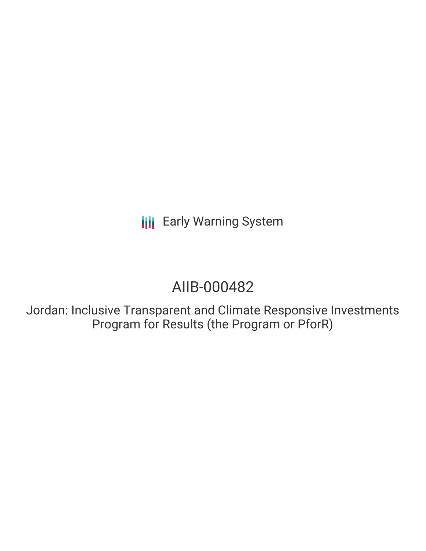# AIIB-000482

Jordan: Inclusive Transparent and Climate Responsive Investments Program for Results (the Program or PforR)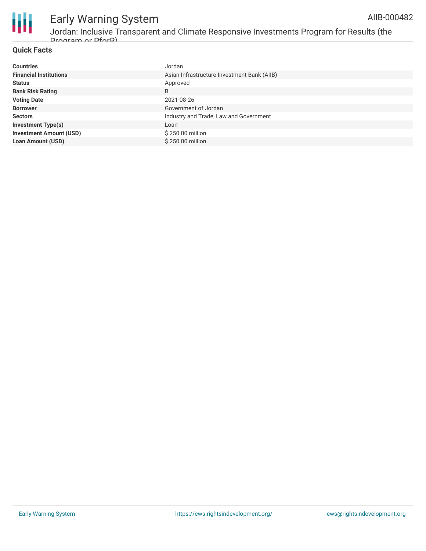



Jordan: Inclusive Transparent and Climate Responsive Investments Program for Results (the Program or PforR)

### **Quick Facts**

| <b>Countries</b>               | Jordan                                      |
|--------------------------------|---------------------------------------------|
| <b>Financial Institutions</b>  | Asian Infrastructure Investment Bank (AIIB) |
| <b>Status</b>                  | Approved                                    |
| <b>Bank Risk Rating</b>        | B                                           |
| <b>Voting Date</b>             | 2021-08-26                                  |
| <b>Borrower</b>                | Government of Jordan                        |
| <b>Sectors</b>                 | Industry and Trade, Law and Government      |
| <b>Investment Type(s)</b>      | Loan                                        |
| <b>Investment Amount (USD)</b> | \$250.00 million                            |
| <b>Loan Amount (USD)</b>       | \$250,00 million                            |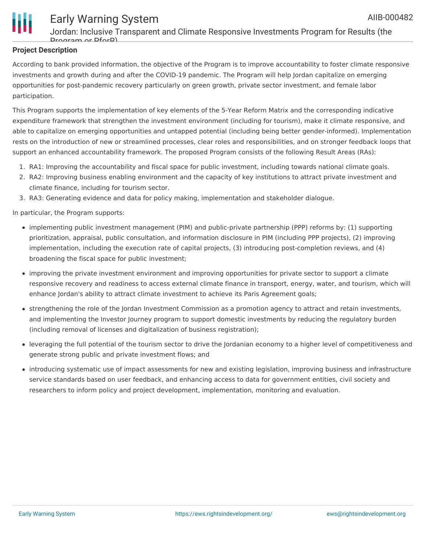

Jordan: Inclusive Transparent and Climate Responsive Investments Program for Results (the Program or PforR)

### **Project Description**

According to bank provided information, the objective of the Program is to improve accountability to foster climate responsive investments and growth during and after the COVID-19 pandemic. The Program will help Jordan capitalize on emerging opportunities for post-pandemic recovery particularly on green growth, private sector investment, and female labor participation.

This Program supports the implementation of key elements of the 5-Year Reform Matrix and the corresponding indicative expenditure framework that strengthen the investment environment (including for tourism), make it climate responsive, and able to capitalize on emerging opportunities and untapped potential (including being better gender-informed). Implementation rests on the introduction of new or streamlined processes, clear roles and responsibilities, and on stronger feedback loops that support an enhanced accountability framework. The proposed Program consists of the following Result Areas (RAs):

- 1. RA1: Improving the accountability and fiscal space for public investment, including towards national climate goals.
- 2. RA2: Improving business enabling environment and the capacity of key institutions to attract private investment and climate finance, including for tourism sector.
- 3. RA3: Generating evidence and data for policy making, implementation and stakeholder dialogue.

In particular, the Program supports:

- implementing public investment management (PIM) and public-private partnership (PPP) reforms by: (1) supporting prioritization, appraisal, public consultation, and information disclosure in PIM (including PPP projects), (2) improving implementation, including the execution rate of capital projects, (3) introducing post-completion reviews, and (4) broadening the fiscal space for public investment;
- improving the private investment environment and improving opportunities for private sector to support a climate responsive recovery and readiness to access external climate finance in transport, energy, water, and tourism, which will enhance Jordan's ability to attract climate investment to achieve its Paris Agreement goals;
- strengthening the role of the Jordan Investment Commission as a promotion agency to attract and retain investments, and implementing the Investor Journey program to support domestic investments by reducing the regulatory burden (including removal of licenses and digitalization of business registration);
- leveraging the full potential of the tourism sector to drive the Jordanian economy to a higher level of competitiveness and generate strong public and private investment flows; and
- introducing systematic use of impact assessments for new and existing legislation, improving business and infrastructure service standards based on user feedback, and enhancing access to data for government entities, civil society and researchers to inform policy and project development, implementation, monitoring and evaluation.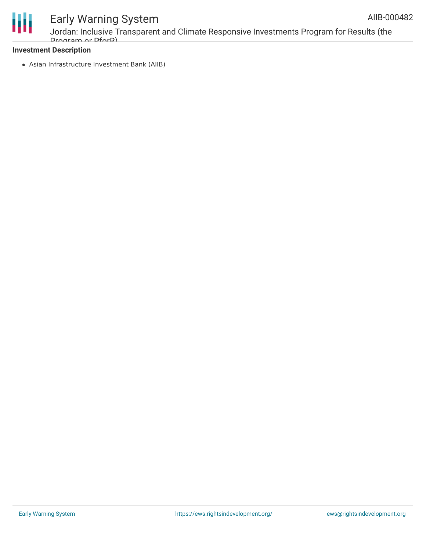

Jordan: Inclusive Transparent and Climate Responsive Investments Program for Results (the Drogram or DforD)

#### **Investment Description**

Asian Infrastructure Investment Bank (AIIB)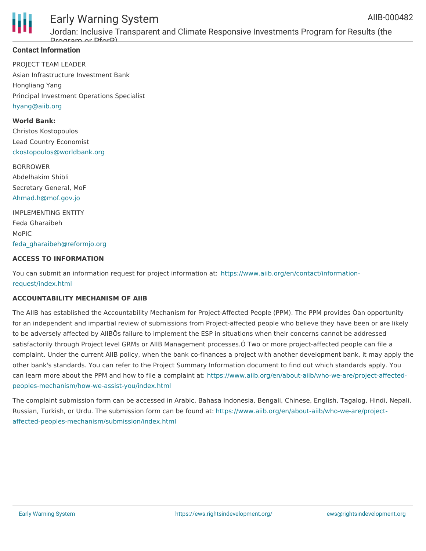

### **Contact Information**

PROJECT TEAM LEADER Asian Infrastructure Investment Bank Hongliang Yang Principal Investment Operations Specialist [hyang@aiib.org](mailto:hyang@aiib.org)

**World Bank:** Christos Kostopoulos Lead Country Economist [ckostopoulos@worldbank.org](mailto:ckostopoulos@worldbank.org)

BORROWER Abdelhakim Shibli Secretary General, MoF [Ahmad.h@mof.gov.jo](mailto:Ahmad.h@mof.gov.jo)

IMPLEMENTING ENTITY Feda Gharaibeh MoPIC [feda\\_gharaibeh@reformjo.org](mailto:feda_gharaibeh@reformjo.org)

### **ACCESS TO INFORMATION**

You can submit an information request for project information at: [https://www.aiib.org/en/contact/information](https://www.aiib.org/en/contact/information-request/index.html)request/index.html

### **ACCOUNTABILITY MECHANISM OF AIIB**

The AIIB has established the Accountability Mechanism for Project-Affected People (PPM). The PPM provides Òan opportunity for an independent and impartial review of submissions from Project-affected people who believe they have been or are likely to be adversely affected by AIIBÕs failure to implement the ESP in situations when their concerns cannot be addressed satisfactorily through Project level GRMs or AIIB Management processes.Ó Two or more project-affected people can file a complaint. Under the current AIIB policy, when the bank co-finances a project with another development bank, it may apply the other bank's standards. You can refer to the Project Summary Information document to find out which standards apply. You can learn more about the PPM and how to file a complaint at: [https://www.aiib.org/en/about-aiib/who-we-are/project-affected](https://www.aiib.org/en/about-aiib/who-we-are/project-affected-peoples-mechanism/how-we-assist-you/index.html)peoples-mechanism/how-we-assist-you/index.html

The complaint submission form can be accessed in Arabic, Bahasa Indonesia, Bengali, Chinese, English, Tagalog, Hindi, Nepali, Russian, Turkish, or Urdu. The submission form can be found at: [https://www.aiib.org/en/about-aiib/who-we-are/project](https://www.aiib.org/en/about-aiib/who-we-are/project-affected-peoples-mechanism/submission/index.html)affected-peoples-mechanism/submission/index.html

AIIB-000482